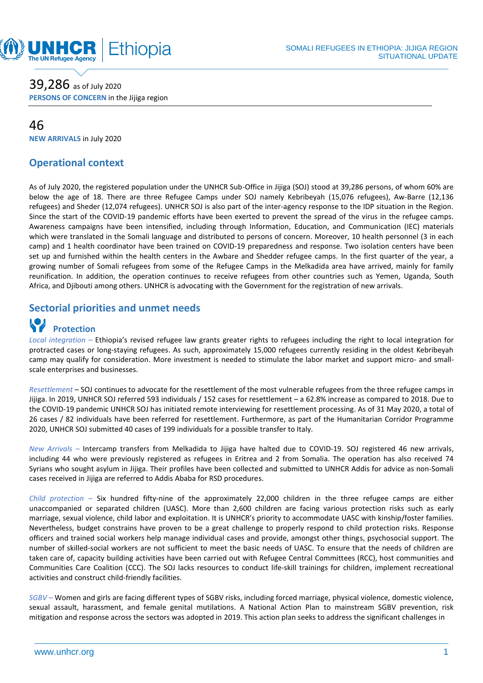

### 39,286 as of July <sup>2020</sup>

**PERSONS OF CONCERN** in the Jijiga region

#### 46

**NEW ARRIVALS** in July 2020

#### **Operational context**

As of July 2020, the registered population under the UNHCR Sub-Office in Jijiga (SOJ) stood at 39,286 persons, of whom 60% are below the age of 18. There are three Refugee Camps under SOJ namely Kebribeyah (15,076 refugees), Aw-Barre (12,136 refugees) and Sheder (12,074 refugees). UNHCR SOJ is also part of the inter-agency response to the IDP situation in the Region. Since the start of the COVID-19 pandemic efforts have been exerted to prevent the spread of the virus in the refugee camps. Awareness campaigns have been intensified, including through Information, Education, and Communication (IEC) materials which were translated in the Somali language and distributed to persons of concern. Moreover, 10 health personnel (3 in each camp) and 1 health coordinator have been trained on COVID-19 preparedness and response. Two isolation centers have been set up and furnished within the health centers in the Awbare and Shedder refugee camps. In the first quarter of the year, a growing number of Somali refugees from some of the Refugee Camps in the Melkadida area have arrived, mainly for family reunification. In addition, the operation continues to receive refugees from other countries such as Yemen, Uganda, South Africa, and Djibouti among others. UNHCR is advocating with the Government for the registration of new arrivals.

#### **Sectorial priorities and unmet needs**

## **Protection**

*Local integration –* Ethiopia's revised refugee law grants greater rights to refugees including the right to local integration for protracted cases or long-staying refugees. As such, approximately 15,000 refugees currently residing in the oldest Kebribeyah camp may qualify for consideration. More investment is needed to stimulate the labor market and support micro- and smallscale enterprises and businesses.

*Resettlement* – SOJ continues to advocate for the resettlement of the most vulnerable refugees from the three refugee camps in Jijiga. In 2019, UNHCR SOJ referred 593 individuals / 152 cases for resettlement – a 62.8% increase as compared to 2018. Due to the COVID-19 pandemic UNHCR SOJ has initiated remote interviewing for resettlement processing. As of 31 May 2020, a total of 26 cases / 82 individuals have been referred for resettlement. Furthermore, as part of the Humanitarian Corridor Programme 2020, UNHCR SOJ submitted 40 cases of 199 individuals for a possible transfer to Italy.

*New Arrivals –* Intercamp transfers from Melkadida to Jijiga have halted due to COVID-19. SOJ registered 46 new arrivals, including 44 who were previously registered as refugees in Eritrea and 2 from Somalia. The operation has also received 74 Syrians who sought asylum in Jijiga. Their profiles have been collected and submitted to UNHCR Addis for advice as non-Somali cases received in Jijiga are referred to Addis Ababa for RSD procedures.

*Child protection –* Six hundred fifty-nine of the approximately 22,000 children in the three refugee camps are either unaccompanied or separated children (UASC). More than 2,600 children are facing various protection risks such as early marriage, sexual violence, child labor and exploitation. It is UNHCR's priority to accommodate UASC with kinship/foster families. Nevertheless, budget constrains have proven to be a great challenge to properly respond to child protection risks. Response officers and trained social workers help manage individual cases and provide, amongst other things, psychosocial support. The number of skilled-social workers are not sufficient to meet the basic needs of UASC. To ensure that the needs of children are taken care of, capacity building activities have been carried out with Refugee Central Committees (RCC), host communities and Communities Care Coalition (CCC). The SOJ lacks resources to conduct life-skill trainings for children, implement recreational activities and construct child-friendly facilities.

*SGBV –* Women and girls are facing different types of SGBV risks, including forced marriage, physical violence, domestic violence, sexual assault, harassment, and female genital mutilations. A National Action Plan to mainstream SGBV prevention, risk mitigation and response across the sectors was adopted in 2019. This action plan seeks to address the significant challenges in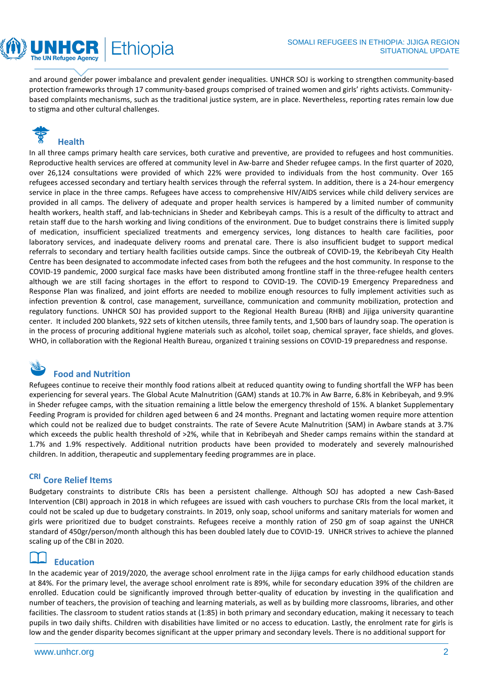and around gender power imbalance and prevalent gender inequalities. UNHCR SOJ is working to strengthen community-based protection frameworks through 17 community-based groups comprised of trained women and girls' rights activists. Communitybased complaints mechanisms, such as the traditional justice system, are in place. Nevertheless, reporting rates remain low due to stigma and other cultural challenges.

# **Health**

The UN Refugee Agency

Ethiopia

In all three camps primary health care services, both curative and preventive, are provided to refugees and host communities. Reproductive health services are offered at community level in Aw-barre and Sheder refugee camps. In the first quarter of 2020, over 26,124 consultations were provided of which 22% were provided to individuals from the host community. Over 165 refugees accessed secondary and tertiary health services through the referral system. In addition, there is a 24-hour emergency service in place in the three camps. Refugees have access to comprehensive HIV/AIDS services while child delivery services are provided in all camps. The delivery of adequate and proper health services is hampered by a limited number of community health workers, health staff, and lab-technicians in Sheder and Kebribeyah camps. This is a result of the difficulty to attract and retain staff due to the harsh working and living conditions of the environment. Due to budget constrains there is limited supply of medication, insufficient specialized treatments and emergency services, long distances to health care facilities, poor laboratory services, and inadequate delivery rooms and prenatal care. There is also insufficient budget to support medical referrals to secondary and tertiary health facilities outside camps. Since the outbreak of COVID-19, the Kebribeyah City Health Centre has been designated to accommodate infected cases from both the refugees and the host community. In response to the COVID-19 pandemic, 2000 surgical face masks have been distributed among frontline staff in the three-refugee health centers although we are still facing shortages in the effort to respond to COVID-19. The COVID-19 Emergency Preparedness and Response Plan was finalized, and joint efforts are needed to mobilize enough resources to fully implement activities such as infection prevention & control, case management, surveillance, communication and community mobilization, protection and regulatory functions. UNHCR SOJ has provided support to the Regional Health Bureau (RHB) and Jijiga university quarantine center. It included 200 blankets, 922 sets of kitchen utensils, three family tents, and 1,500 bars of laundry soap. The operation is in the process of procuring additional hygiene materials such as alcohol, toilet soap, chemical sprayer, face shields, and gloves. WHO, in collaboration with the Regional Health Bureau, organized t training sessions on COVID-19 preparedness and response.



#### **Food and Nutrition**

Refugees continue to receive their monthly food rations albeit at reduced quantity owing to funding shortfall the WFP has been experiencing for several years. The Global Acute Malnutrition (GAM) stands at 10.7% in Aw Barre, 6.8% in Kebribeyah, and 9.9% in Sheder refugee camps, with the situation remaining a little below the emergency threshold of 15%. A blanket Supplementary Feeding Program is provided for children aged between 6 and 24 months. Pregnant and lactating women require more attention which could not be realized due to budget constraints. The rate of Severe Acute Malnutrition (SAM) in Awbare stands at 3.7% which exceeds the public health threshold of >2%, while that in Kebribeyah and Sheder camps remains within the standard at 1.7% and 1.9% respectively. Additional nutrition products have been provided to moderately and severely malnourished children. In addition, therapeutic and supplementary feeding programmes are in place.

#### **CRI Core Relief Items**

Budgetary constraints to distribute CRIs has been a persistent challenge. Although SOJ has adopted a new Cash-Based Intervention (CBI) approach in 2018 in which refugees are issued with cash vouchers to purchase CRIs from the local market, it could not be scaled up due to budgetary constraints. In 2019, only soap, school uniforms and sanitary materials for women and girls were prioritized due to budget constraints. Refugees receive a monthly ration of 250 gm of soap against the UNHCR standard of 450gr/person/month although this has been doubled lately due to COVID-19. UNHCR strives to achieve the planned scaling up of the CBI in 2020.

#### **Education**

In the academic year of 2019/2020, the average school enrolment rate in the Jijiga camps for early childhood education stands at 84%. For the primary level, the average school enrolment rate is 89%, while for secondary education 39% of the children are enrolled. Education could be significantly improved through better-quality of education by investing in the qualification and number of teachers, the provision of teaching and learning materials, as well as by building more classrooms, libraries, and other facilities. The classroom to student ratios stands at (1:85) in both primary and secondary education, making it necessary to teach pupils in two daily shifts. Children with disabilities have limited or no access to education. Lastly, the enrolment rate for girls is low and the gender disparity becomes significant at the upper primary and secondary levels. There is no additional support for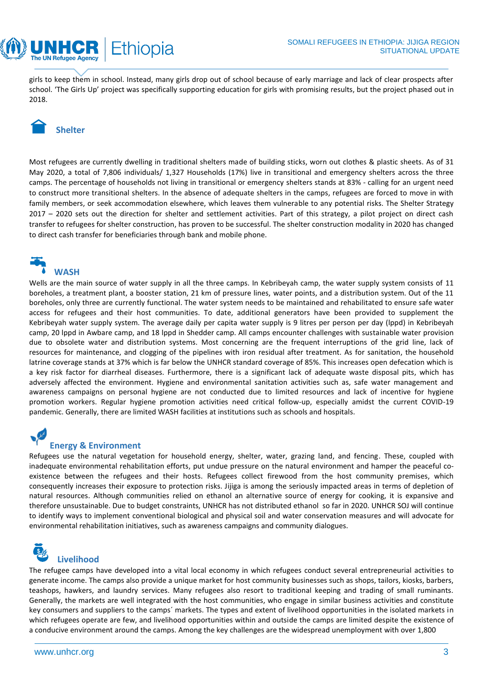girls to keep them in school. Instead, many girls drop out of school because of early marriage and lack of clear prospects after school. 'The Girls Up' project was specifically supporting education for girls with promising results, but the project phased out in 2018.

## **Shelter**

The UN Refugee Agency

Ethiopia

Most refugees are currently dwelling in traditional shelters made of building sticks, worn out clothes & plastic sheets. As of 31 May 2020, a total of 7,806 individuals/ 1,327 Households (17%) live in transitional and emergency shelters across the three camps. The percentage of households not living in transitional or emergency shelters stands at 83% - calling for an urgent need to construct more transitional shelters. In the absence of adequate shelters in the camps, refugees are forced to move in with family members, or seek accommodation elsewhere, which leaves them vulnerable to any potential risks. The Shelter Strategy 2017 – 2020 sets out the direction for shelter and settlement activities. Part of this strategy, a pilot project on direct cash transfer to refugees for shelter construction, has proven to be successful. The shelter construction modality in 2020 has changed to direct cash transfer for beneficiaries through bank and mobile phone.



Wells are the main source of water supply in all the three camps. In Kebribeyah camp, the water supply system consists of 11 boreholes, a treatment plant, a booster station, 21 km of pressure lines, water points, and a distribution system. Out of the 11 boreholes, only three are currently functional. The water system needs to be maintained and rehabilitated to ensure safe water access for refugees and their host communities. To date, additional generators have been provided to supplement the Kebribeyah water supply system. The average daily per capita water supply is 9 litres per person per day (lppd) in Kebribeyah camp, 20 lppd in Awbare camp, and 18 lppd in Shedder camp. All camps encounter challenges with sustainable water provision due to obsolete water and distribution systems. Most concerning are the frequent interruptions of the grid line, lack of resources for maintenance, and clogging of the pipelines with iron residual after treatment. As for sanitation, the household latrine coverage stands at 37% which is far below the UNHCR standard coverage of 85%. This increases open defecation which is a key risk factor for diarrheal diseases. Furthermore, there is a significant lack of adequate waste disposal pits, which has adversely affected the environment. Hygiene and environmental sanitation activities such as, safe water management and awareness campaigns on personal hygiene are not conducted due to limited resources and lack of incentive for hygiene promotion workers. Regular hygiene promotion activities need critical follow-up, especially amidst the current COVID-19 pandemic. Generally, there are limited WASH facilities at institutions such as schools and hospitals.

#### **Energy & Environment**

Refugees use the natural vegetation for household energy, shelter, water, grazing land, and fencing. These, coupled with inadequate environmental rehabilitation efforts, put undue pressure on the natural environment and hamper the peaceful coexistence between the refugees and their hosts. Refugees collect firewood from the host community premises, which consequently increases their exposure to protection risks. Jijiga is among the seriously impacted areas in terms of depletion of natural resources. Although communities relied on ethanol an alternative source of energy for cooking, it is expansive and therefore unsustainable. Due to budget constraints, UNHCR has not distributed ethanol so far in 2020. UNHCR SOJ will continue to identify ways to implement conventional biological and physical soil and water conservation measures and will advocate for environmental rehabilitation initiatives, such as awareness campaigns and community dialogues.

# **Livelihood**

The refugee camps have developed into a vital local economy in which refugees conduct several entrepreneurial activities to generate income. The camps also provide a unique market for host community businesses such as shops, tailors, kiosks, barbers, teashops, hawkers, and laundry services. Many refugees also resort to traditional keeping and trading of small ruminants. Generally, the markets are well integrated with the host communities, who engage in similar business activities and constitute key consumers and suppliers to the camps´ markets. The types and extent of livelihood opportunities in the isolated markets in which refugees operate are few, and livelihood opportunities within and outside the camps are limited despite the existence of a conducive environment around the camps. Among the key challenges are the widespread unemployment with over 1,800